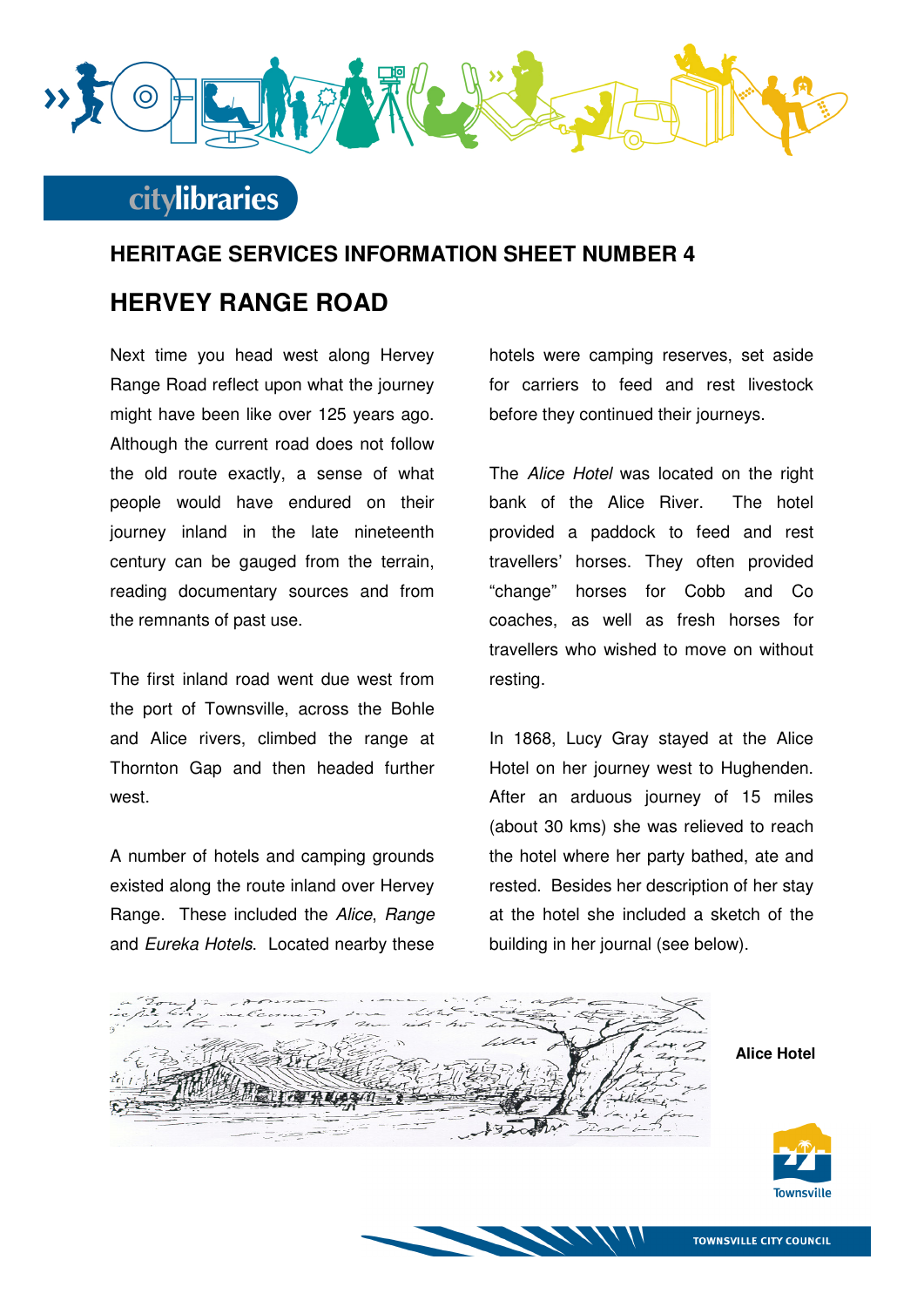

### **citylibraries**

#### **HERITAGE SERVICES INFORMATION SHEET NUMBER 4**

### **HERVEY RANGE ROAD**

Next time you head west along Hervey Range Road reflect upon what the journey might have been like over 125 years ago. Although the current road does not follow the old route exactly, a sense of what people would have endured on their journey inland in the late nineteenth century can be gauged from the terrain, reading documentary sources and from the remnants of past use.

The first inland road went due west from the port of Townsville, across the Bohle and Alice rivers, climbed the range at Thornton Gap and then headed further west.

A number of hotels and camping grounds existed along the route inland over Hervey Range. These included the Alice, Range and Eureka Hotels. Located nearby these

hotels were camping reserves, set aside for carriers to feed and rest livestock before they continued their journeys.

The Alice Hotel was located on the right bank of the Alice River. The hotel provided a paddock to feed and rest travellers' horses. They often provided "change" horses for Cobb and Co coaches, as well as fresh horses for travellers who wished to move on without resting.

In 1868, Lucy Gray stayed at the Alice Hotel on her journey west to Hughenden. After an arduous journey of 15 miles (about 30 kms) she was relieved to reach the hotel where her party bathed, ate and rested. Besides her description of her stay at the hotel she included a sketch of the building in her journal (see below).

**Alice Hotel** 



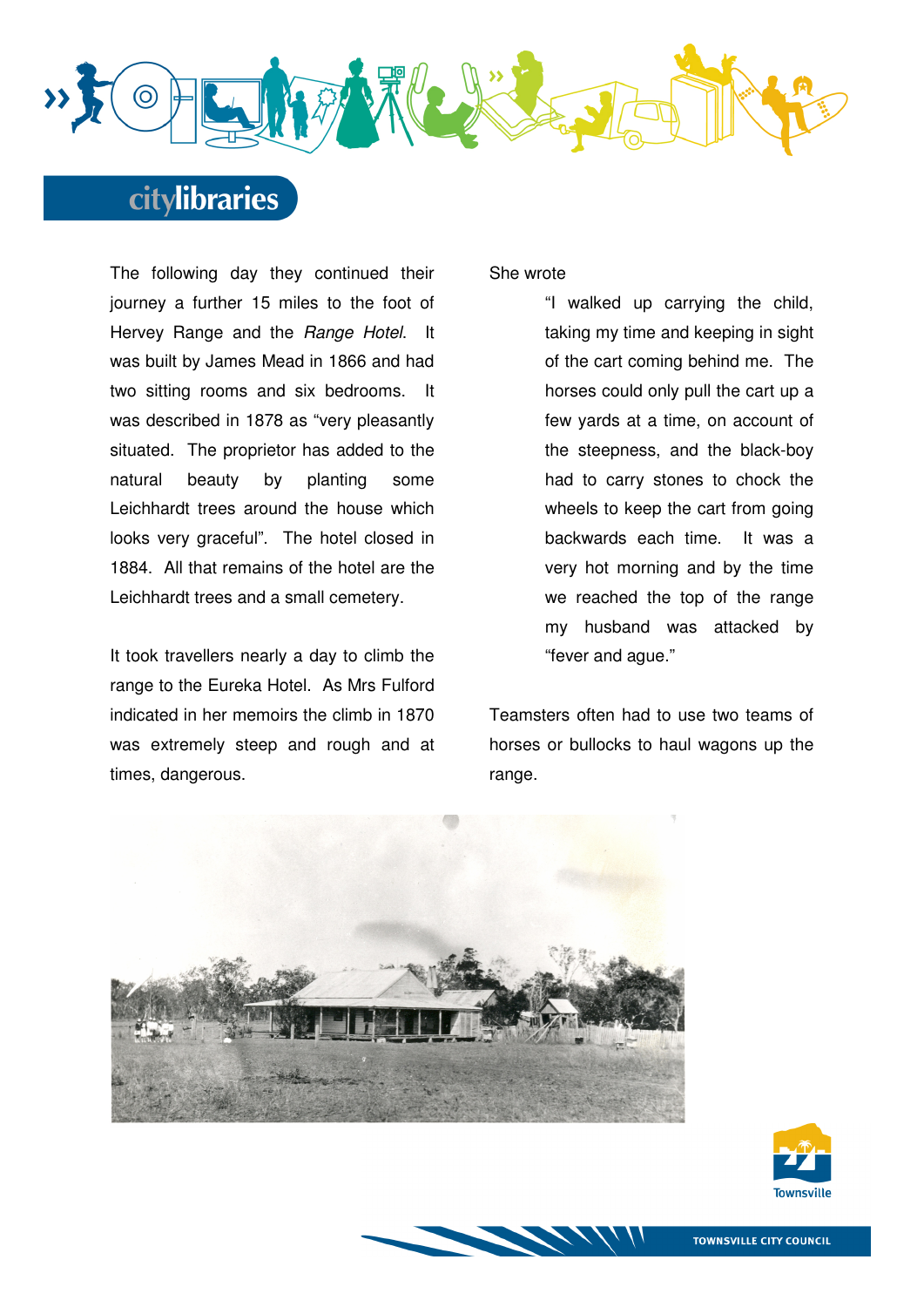

# **citylibraries**

The following day they continued their journey a further 15 miles to the foot of Hervey Range and the Range Hotel. It was built by James Mead in 1866 and had two sitting rooms and six bedrooms. It was described in 1878 as "very pleasantly situated. The proprietor has added to the natural beauty by planting some Leichhardt trees around the house which looks very graceful". The hotel closed in 1884. All that remains of the hotel are the Leichhardt trees and a small cemetery.

It took travellers nearly a day to climb the range to the Eureka Hotel. As Mrs Fulford indicated in her memoirs the climb in 1870 was extremely steep and rough and at times, dangerous.

#### She wrote

"I walked up carrying the child, taking my time and keeping in sight of the cart coming behind me. The horses could only pull the cart up a few yards at a time, on account of the steepness, and the black-boy had to carry stones to chock the wheels to keep the cart from going backwards each time. It was a very hot morning and by the time we reached the top of the range my husband was attacked by "fever and ague."

Teamsters often had to use two teams of horses or bullocks to haul wagons up the range.